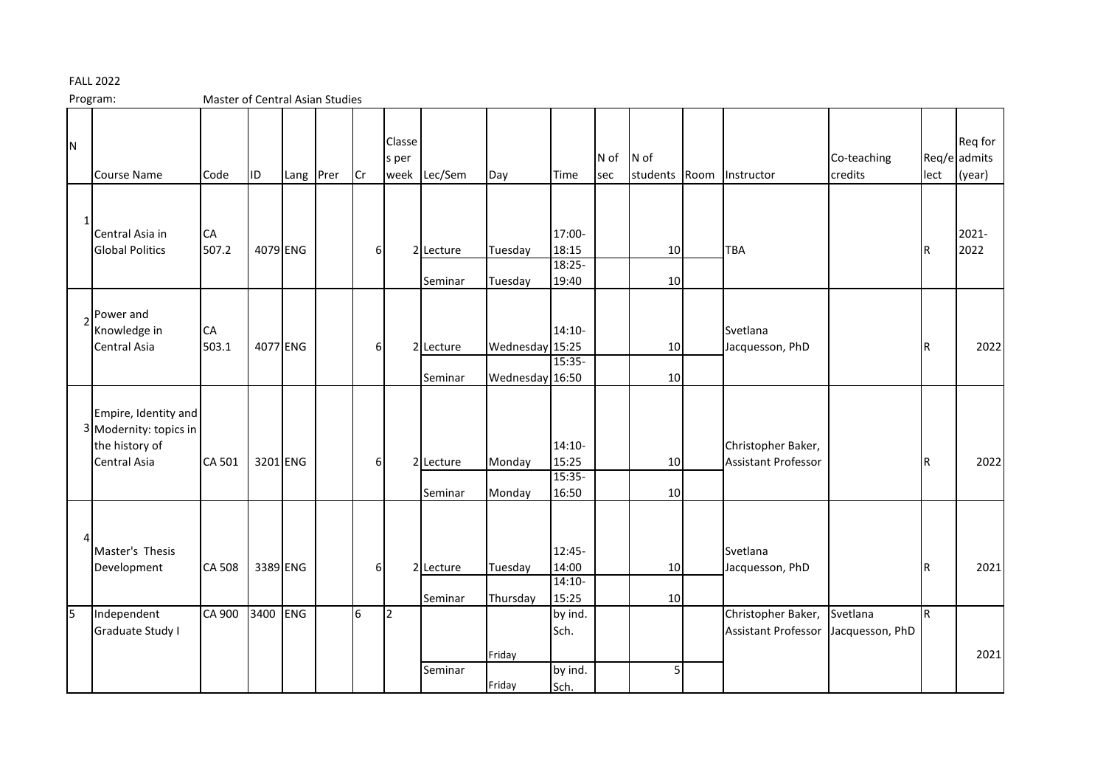## FALL 2022

Program: Master of Central Asian Studies

| N            | <b>Course Name</b>                                                               | Code        | <b>ID</b> | Lang Prer  | <b>Cr</b>        | Classe<br>s per<br>week | Lec/Sem              | Day                                | Time                                   | N of<br>sec | N of<br>students Room | Instructor                                       | Co-teaching<br>credits      | lect | Req for<br>Req/e admits<br>(year) |
|--------------|----------------------------------------------------------------------------------|-------------|-----------|------------|------------------|-------------------------|----------------------|------------------------------------|----------------------------------------|-------------|-----------------------|--------------------------------------------------|-----------------------------|------|-----------------------------------|
| $\mathbf{1}$ | Central Asia in<br><b>Global Politics</b>                                        | CA<br>507.2 | 4079 ENG  |            | 6                |                         | 2 Lecture<br>Seminar | Tuesday<br>Tuesday                 | 17:00-<br>18:15<br>$18:25 -$<br>19:40  |             | 10 <sup>1</sup><br>10 | TBA                                              |                             | IR.  | 2021-<br>2022                     |
|              | Power and<br>Knowledge in<br><b>Central Asia</b>                                 | CA<br>503.1 | 4077 ENG  |            | 6                |                         | 2 Lecture<br>Seminar | Wednesday 15:25<br>Wednesday 16:50 | 14:10-<br>$15:35-$                     |             | 10<br>10              | Svetlana<br>Jacquesson, PhD                      |                             | IR.  | 2022                              |
|              | Empire, Identity and<br>3 Modernity: topics in<br>the history of<br>Central Asia | CA 501      | 3201 ENG  |            | $6 \overline{6}$ |                         | 2 Lecture<br>Seminar | Monday<br>Monday                   | $14:10-$<br>15:25<br>$15:35-$<br>16:50 |             | 10<br>10              | Christopher Baker,<br><b>Assistant Professor</b> |                             | lR.  | 2022                              |
| Δ            | Master's Thesis<br>Development                                                   | CA 508      | 3389 ENG  |            | $6 \overline{6}$ |                         | 2 Lecture<br>Seminar | Tuesday<br>Thursday                | 12:45-<br>14:00<br>$14:10-$<br>15:25   |             | 10<br>10              | Svetlana<br>Jacquesson, PhD                      |                             | IR.  | 2021                              |
| l5           | Independent<br>Graduate Study I                                                  | CA 900      | 3400      | <b>ENG</b> | 6                | 12                      | Seminar              | Friday<br>Friday                   | by ind.<br>Sch.<br>by ind.<br>Sch.     |             | 5                     | Christopher Baker,<br><b>Assistant Professor</b> | Svetlana<br>Jacquesson, PhD | lr.  | 2021                              |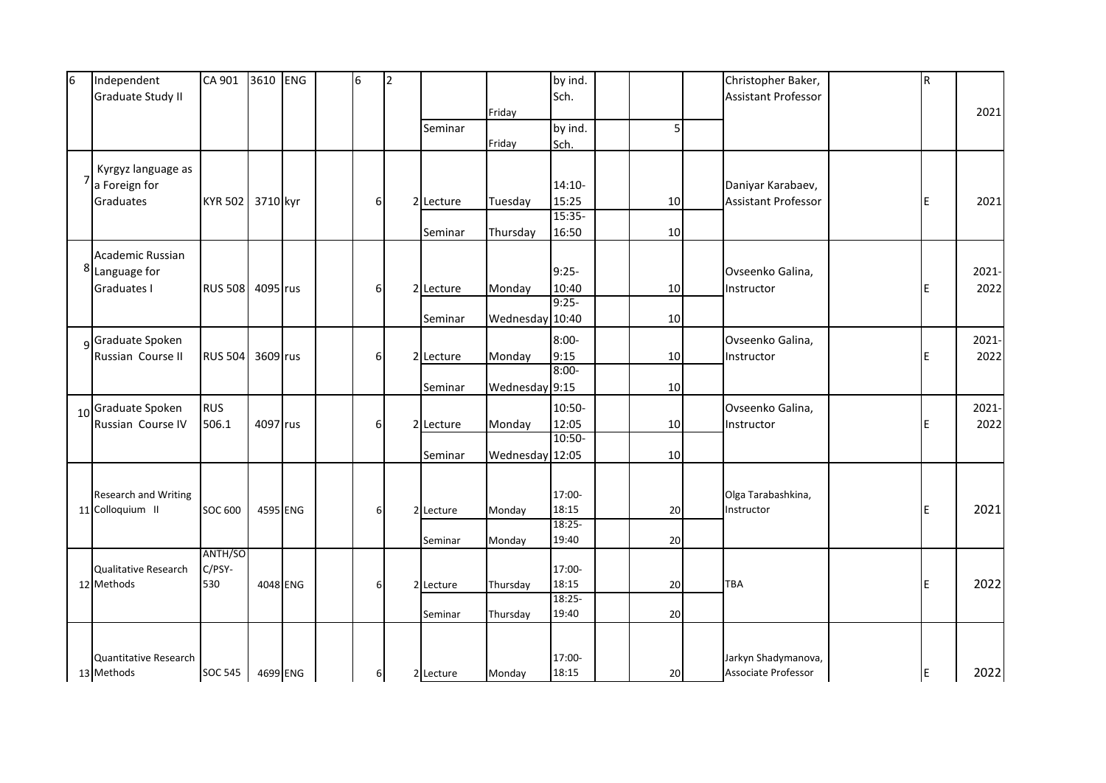| 6 | Independent                             | CA 901         | 3610 ENG |          | 6        | $\overline{2}$ |           |                 | by ind.          |    |     | Christopher Baker,             |   | R   |               |
|---|-----------------------------------------|----------------|----------|----------|----------|----------------|-----------|-----------------|------------------|----|-----|--------------------------------|---|-----|---------------|
|   | Graduate Study II                       |                |          |          |          |                |           |                 | Sch.             |    |     | <b>Assistant Professor</b>     |   |     |               |
|   |                                         |                |          |          |          |                |           | Friday          |                  |    |     |                                |   |     | 2021          |
|   |                                         |                |          |          |          |                | Seminar   |                 | by ind.          | 5  |     |                                |   |     |               |
|   |                                         |                |          |          |          |                |           | Friday          | Sch.             |    |     |                                |   |     |               |
|   | Kyrgyz language as                      |                |          |          |          |                |           |                 |                  |    |     |                                |   |     |               |
|   | $7$ a Foreign for                       |                |          |          |          |                |           |                 | $14:10-$         |    |     | Daniyar Karabaev,              |   |     |               |
|   | Graduates                               | <b>KYR 502</b> | 3710 kyr |          | $6 \mid$ |                | 2 Lecture | Tuesday         | 15:25            | 10 |     | <b>Assistant Professor</b>     |   | E   | 2021          |
|   |                                         |                |          |          |          |                |           |                 | 15:35-           |    |     |                                |   |     |               |
|   |                                         |                |          |          |          |                | Seminar   | Thursday        | 16:50            | 10 |     |                                |   |     |               |
|   | Academic Russian                        |                |          |          |          |                |           |                 |                  |    |     |                                |   |     |               |
|   | 8 Language for                          |                |          |          |          |                |           |                 | $9:25-$          |    |     | Ovseenko Galina,<br>Instructor |   | E   | 2021-         |
|   | <b>Graduates I</b>                      | <b>RUS 508</b> | 4095 rus |          | $6 \mid$ |                | 2 Lecture | Monday          | 10:40            | 10 |     |                                |   |     | 2022          |
|   |                                         |                |          |          |          |                |           |                 | $9:25-$          |    |     |                                |   |     |               |
|   |                                         |                |          |          |          |                | Seminar   | Wednesday 10:40 |                  | 10 |     |                                |   |     |               |
|   |                                         |                |          |          |          |                |           |                 |                  |    |     |                                |   |     |               |
|   | <sub>9</sub> Graduate Spoken            |                |          |          |          |                |           |                 | $8:00 -$         |    |     | Ovseenko Galina,<br>Instructor |   |     | 2021-         |
|   | Russian Course II                       | <b>RUS 504</b> | 3609 rus |          | $6 \mid$ |                | 2 Lecture | Monday          | 9:15<br>$8:00 -$ | 10 |     |                                |   | ΙE  | 2022          |
|   |                                         |                |          |          |          |                | Seminar   | Wednesday 9:15  |                  | 10 |     |                                |   |     |               |
|   |                                         | <b>RUS</b>     |          |          |          |                |           |                 |                  |    |     | Ovseenko Galina,<br>Instructor | E |     | 2021-<br>2022 |
|   | 10 Graduate Spoken<br>Russian Course IV | 506.1          |          |          |          |                |           |                 | 10:50-           |    |     |                                |   |     |               |
|   |                                         |                | 4097 rus |          | $6 \mid$ |                | 2 Lecture | Monday          | 12:05<br>10:50-  | 10 |     |                                |   |     |               |
|   |                                         |                |          |          |          |                | Seminar   | Wednesday 12:05 |                  | 10 |     |                                |   |     |               |
|   |                                         |                |          |          |          |                |           |                 |                  |    |     |                                |   |     |               |
|   |                                         |                |          |          |          |                |           |                 |                  |    |     |                                |   |     |               |
|   | Research and Writing                    |                |          |          |          |                |           |                 | 17:00-           |    |     | Olga Tarabashkina,             |   |     |               |
|   | 11 Colloquium II                        | <b>SOC 600</b> | 4595 ENG |          | 6        |                | 2 Lecture | Monday          | 18:15            | 20 |     | Instructor                     |   | E   | 2021          |
|   |                                         |                |          |          |          |                | Seminar   |                 | 18:25-<br>19:40  | 20 |     |                                |   |     |               |
|   |                                         | ANTH/SO        |          |          |          |                |           | Monday          |                  |    |     |                                |   |     |               |
|   | Qualitative Research                    | C/PSY-         |          |          |          |                |           |                 | 17:00-           |    |     |                                |   |     |               |
|   | 12 Methods                              | 530            |          | 4048 ENG | 6        |                | 2 Lecture | Thursday        | 18:15            | 20 | TBA |                                |   | ΙE  | 2022          |
|   |                                         |                |          |          |          |                |           |                 | $18:25 -$        |    |     |                                |   |     |               |
|   |                                         |                |          |          |          |                | Seminar   | Thursday        | 19:40            | 20 |     |                                |   |     |               |
|   |                                         |                |          |          |          |                |           |                 |                  |    |     |                                |   |     |               |
|   | Quantitative Research                   |                |          |          |          |                |           |                 | 17:00-           |    |     | Jarkyn Shadymanova,            |   |     |               |
|   | 13 Methods                              | <b>SOC 545</b> |          | 4699 ENG | $6 \mid$ |                | 2 Lecture | Monday          | 18:15            | 20 |     | Associate Professor            |   | IE. | 2022          |